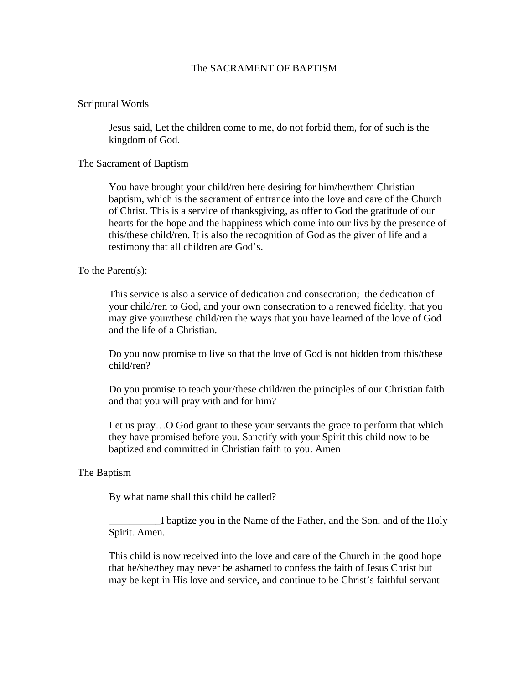## The SACRAMENT OF BAPTISM

### Scriptural Words

Jesus said, Let the children come to me, do not forbid them, for of such is the kingdom of God.

#### The Sacrament of Baptism

You have brought your child/ren here desiring for him/her/them Christian baptism, which is the sacrament of entrance into the love and care of the Church of Christ. This is a service of thanksgiving, as offer to God the gratitude of our hearts for the hope and the happiness which come into our livs by the presence of this/these child/ren. It is also the recognition of God as the giver of life and a testimony that all children are God's.

## To the Parent(s):

This service is also a service of dedication and consecration; the dedication of your child/ren to God, and your own consecration to a renewed fidelity, that you may give your/these child/ren the ways that you have learned of the love of God and the life of a Christian.

Do you now promise to live so that the love of God is not hidden from this/these child/ren?

Do you promise to teach your/these child/ren the principles of our Christian faith and that you will pray with and for him?

Let us pray…O God grant to these your servants the grace to perform that which they have promised before you. Sanctify with your Spirit this child now to be baptized and committed in Christian faith to you. Amen

#### The Baptism

By what name shall this child be called?

\_\_\_\_\_\_\_\_\_\_I baptize you in the Name of the Father, and the Son, and of the Holy Spirit. Amen.

This child is now received into the love and care of the Church in the good hope that he/she/they may never be ashamed to confess the faith of Jesus Christ but may be kept in His love and service, and continue to be Christ's faithful servant